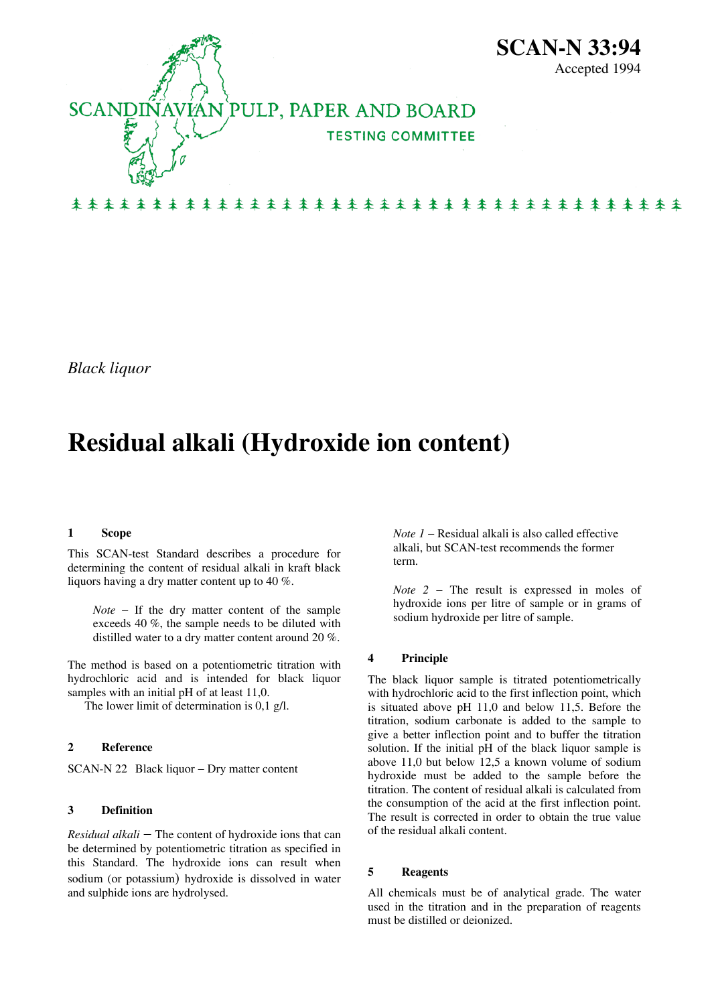

*Black liquor* 

# **Residual alkali (Hydroxide ion content)**

#### **1 Scope**

This SCAN-test Standard describes a procedure for determining the content of residual alkali in kraft black liquors having a dry matter content up to 40 %.

*Note* − If the dry matter content of the sample exceeds 40 %, the sample needs to be diluted with distilled water to a dry matter content around 20 %.

The method is based on a potentiometric titration with hydrochloric acid and is intended for black liquor samples with an initial pH of at least 11,0.

The lower limit of determination is 0,1 g/l.

#### **2 Reference**

SCAN-N 22 Black liquor − Dry matter content

#### **3 Definition**

*Residual alkali* − The content of hydroxide ions that can be determined by potentiometric titration as specified in this Standard. The hydroxide ions can result when sodium (or potassium) hydroxide is dissolved in water and sulphide ions are hydrolysed.

*Note 1* − Residual alkali is also called effective alkali, but SCAN-test recommends the former term.

*Note 2* − The result is expressed in moles of hydroxide ions per litre of sample or in grams of sodium hydroxide per litre of sample.

#### **4 Principle**

The black liquor sample is titrated potentiometrically with hydrochloric acid to the first inflection point, which is situated above pH 11,0 and below 11,5. Before the titration, sodium carbonate is added to the sample to give a better inflection point and to buffer the titration solution. If the initial pH of the black liquor sample is above 11,0 but below 12,5 a known volume of sodium hydroxide must be added to the sample before the titration. The content of residual alkali is calculated from the consumption of the acid at the first inflection point. The result is corrected in order to obtain the true value of the residual alkali content.

#### **5 Reagents**

All chemicals must be of analytical grade. The water used in the titration and in the preparation of reagents must be distilled or deionized.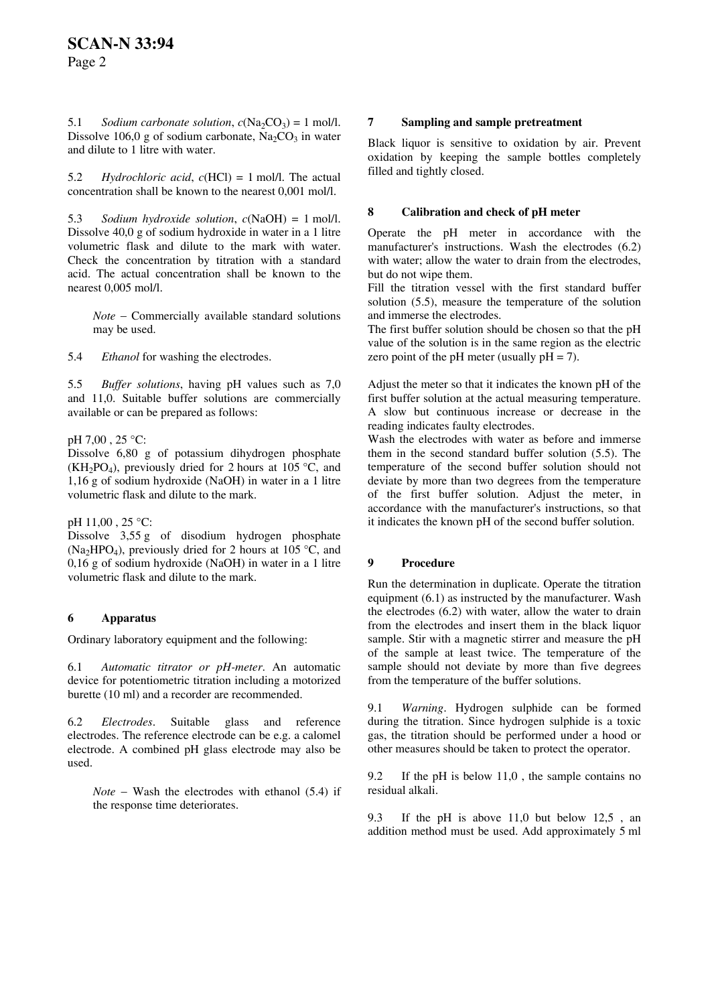5.1 *Sodium carbonate solution,*  $c(Na_2CO_3) = 1$  mol/l. Dissolve 106,0 g of sodium carbonate,  $Na_2CO_3$  in water and dilute to 1 litre with water.

5.2 *Hydrochloric acid*, *c*(HCl) = 1 mol/l. The actual concentration shall be known to the nearest 0,001 mol/l.

5.3 *Sodium hydroxide solution*, *c*(NaOH) = 1 mol/l. Dissolve 40,0 g of sodium hydroxide in water in a 1 litre volumetric flask and dilute to the mark with water. Check the concentration by titration with a standard acid. The actual concentration shall be known to the nearest 0,005 mol/l.

*Note* − Commercially available standard solutions may be used.

5.4 *Ethanol* for washing the electrodes.

5.5 *Buffer solutions*, having pH values such as 7,0 and 11,0. Suitable buffer solutions are commercially available or can be prepared as follows:

pH 7,00 , 25 °C:

Dissolve 6,80 g of potassium dihydrogen phosphate  $(KH<sub>2</sub>PO<sub>4</sub>)$ , previously dried for 2 hours at 105 °C, and 1,16 g of sodium hydroxide (NaOH) in water in a 1 litre volumetric flask and dilute to the mark.

#### pH 11,00 , 25 °C:

Dissolve 3,55 g of disodium hydrogen phosphate (Na<sub>2</sub>HPO<sub>4</sub>), previously dried for 2 hours at 105 °C, and 0,16 g of sodium hydroxide (NaOH) in water in a 1 litre volumetric flask and dilute to the mark.

# **6 Apparatus**

Ordinary laboratory equipment and the following:

6.1 *Automatic titrator or pH-meter*. An automatic device for potentiometric titration including a motorized burette (10 ml) and a recorder are recommended.

6.2 *Electrodes*. Suitable glass and reference electrodes. The reference electrode can be e.g. a calomel electrode. A combined pH glass electrode may also be used.

*Note* − Wash the electrodes with ethanol (5.4) if the response time deteriorates.

#### **7 Sampling and sample pretreatment**

Black liquor is sensitive to oxidation by air. Prevent oxidation by keeping the sample bottles completely filled and tightly closed.

### **8 Calibration and check of pH meter**

Operate the pH meter in accordance with the manufacturer's instructions. Wash the electrodes (6.2) with water; allow the water to drain from the electrodes, but do not wipe them.

Fill the titration vessel with the first standard buffer solution (5.5), measure the temperature of the solution and immerse the electrodes.

The first buffer solution should be chosen so that the pH value of the solution is in the same region as the electric zero point of the pH meter (usually  $pH = 7$ ).

Adjust the meter so that it indicates the known pH of the first buffer solution at the actual measuring temperature. A slow but continuous increase or decrease in the reading indicates faulty electrodes.

Wash the electrodes with water as before and immerse them in the second standard buffer solution (5.5). The temperature of the second buffer solution should not deviate by more than two degrees from the temperature of the first buffer solution. Adjust the meter, in accordance with the manufacturer's instructions, so that it indicates the known pH of the second buffer solution.

# **9 Procedure**

Run the determination in duplicate. Operate the titration equipment (6.1) as instructed by the manufacturer. Wash the electrodes (6.2) with water, allow the water to drain from the electrodes and insert them in the black liquor sample. Stir with a magnetic stirrer and measure the pH of the sample at least twice. The temperature of the sample should not deviate by more than five degrees from the temperature of the buffer solutions.

9.1 *Warning*. Hydrogen sulphide can be formed during the titration. Since hydrogen sulphide is a toxic gas, the titration should be performed under a hood or other measures should be taken to protect the operator.

9.2 If the pH is below 11,0 , the sample contains no residual alkali.

9.3 If the pH is above 11,0 but below 12,5 , an addition method must be used. Add approximately 5 ml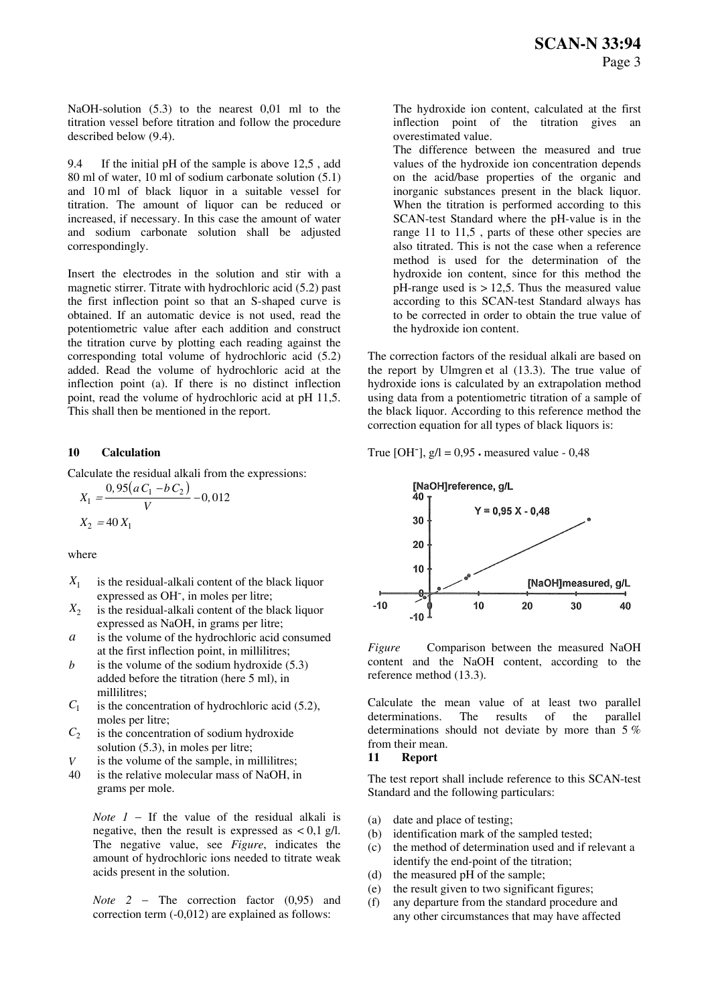NaOH-solution (5.3) to the nearest 0,01 ml to the titration vessel before titration and follow the procedure described below (9.4).

9.4 If the initial pH of the sample is above 12,5 , add 80 ml of water, 10 ml of sodium carbonate solution (5.1) and 10 ml of black liquor in a suitable vessel for titration. The amount of liquor can be reduced or increased, if necessary. In this case the amount of water and sodium carbonate solution shall be adjusted correspondingly.

Insert the electrodes in the solution and stir with a magnetic stirrer. Titrate with hydrochloric acid (5.2) past the first inflection point so that an S-shaped curve is obtained. If an automatic device is not used, read the potentiometric value after each addition and construct the titration curve by plotting each reading against the corresponding total volume of hydrochloric acid (5.2) added. Read the volume of hydrochloric acid at the inflection point (a). If there is no distinct inflection point, read the volume of hydrochloric acid at pH 11,5. This shall then be mentioned in the report.

Calculate the residual alkali from the expressions:  
\n
$$
X_1 = \frac{0.95(aC_1 - bC_2)}{V} - 0.012
$$
\n
$$
X_2 = 40 X_1
$$

where

- $X_1$  is the residual-alkali content of the black liquor expressed as OH-, in moles per litre;
- $X_2$  is the residual-alkali content of the black liquor expressed as NaOH, in grams per litre;
- *a* is the volume of the hydrochloric acid consumed
- is the volume of the sodium hydroxide  $(5.3)$  content and the NaO<br>added before the titration (here 5 ml) in reference method (13.3). added before the titration (here 5 ml), in millilitres; *b*
- $C_1$  is the concentration of hydrochloric acid (5.2), moles per litre;
- $C_2$  is the concentration of sodium hydroxide solution (5.3), in moles per litre; **11 12 i 11 Report** *V* is the volume of the sample, in millilitres; **11 Report**
- 
- is the relative molecular mass of NaOH, in grams per mole.

*Note 1* − If the value of the residual alkali is negative, then the result is expressed as  $\lt 0.1$  g/l. The negative value, see *Figure*, indicates the amount of hydrochloric ions needed to titrate weak acids present in the solution.

*Note 2* − The correction factor (0,95) and correction term (-0,012) are explained as follows:

The hydroxide ion content, calculated at the first inflection point of the titration gives an overestimated value.

The difference between the measured and true values of the hydroxide ion concentration depends on the acid/base properties of the organic and inorganic substances present in the black liquor. When the titration is performed according to this SCAN-test Standard where the pH-value is in the range 11 to 11,5 , parts of these other species are also titrated. This is not the case when a reference method is used for the determination of the hydroxide ion content, since for this method the  $pH$ -range used is  $> 12.5$ . Thus the measured value according to this SCAN-test Standard always has to be corrected in order to obtain the true value of the hydroxide ion content.

The correction factors of the residual alkali are based on the report by Ulmgren et al (13.3). The true value of hydroxide ions is calculated by an extrapolation method using data from a potentiometric titration of a sample of the black liquor. According to this reference method the correction equation for all types of black liquors is:

**10 Calculation 10 Calculation 10 Calculation 10 Calculation 10 Calculation 10 Calculation 10 Calculation 10 Calculation 10 Calculation 10 Calculation 10 Calculation 10 Calcul** 



at the first inflection point, in millilitres; *Figure* Comparison between the measured NaOH content and the NaOH content, according to the

> Calculate the mean value of at least two parallel determinations. The results of the parallel determinations should not deviate by more than 5 % from their mean.

40 is the relative molecular mass of NaOH, in<br>The test report shall include reference to this SCAN-test Standard and the following particulars:

- (a) date and place of testing;
- (b) identification mark of the sampled tested;
- (c) the method of determination used and if relevant a identify the end-point of the titration;
- (d) the measured pH of the sample;
- (e) the result given to two significant figures;
- (f) any departure from the standard procedure and any other circumstances that may have affected